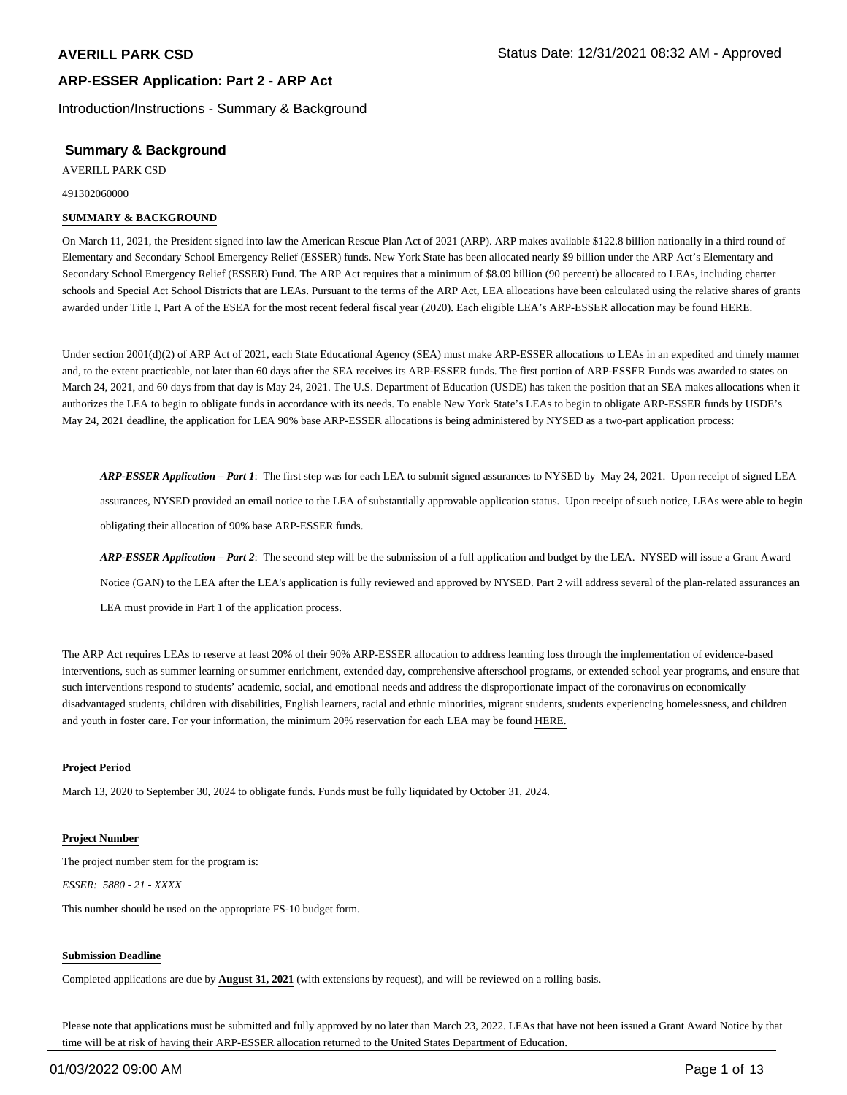Introduction/Instructions - Summary & Background

## **Summary & Background**

AVERILL PARK CSD

491302060000

#### **SUMMARY & BACKGROUND**

On March 11, 2021, the President signed into law the American Rescue Plan Act of 2021 (ARP). ARP makes available \$122.8 billion nationally in a third round of Elementary and Secondary School Emergency Relief (ESSER) funds. New York State has been allocated nearly \$9 billion under the ARP Act's Elementary and Secondary School Emergency Relief (ESSER) Fund. The ARP Act requires that a minimum of \$8.09 billion (90 percent) be allocated to LEAs, including charter schools and Special Act School Districts that are LEAs. Pursuant to the terms of the ARP Act, LEA allocations have been calculated using the relative shares of grants awarded under Title I, Part A of the ESEA for the most recent federal fiscal year (2020). Each eligible LEA's ARP-ESSER allocation may be found HERE.

Under section 2001(d)(2) of ARP Act of 2021, each State Educational Agency (SEA) must make ARP-ESSER allocations to LEAs in an expedited and timely manner and, to the extent practicable, not later than 60 days after the SEA receives its ARP-ESSER funds. The first portion of ARP-ESSER Funds was awarded to states on March 24, 2021, and 60 days from that day is May 24, 2021. The U.S. Department of Education (USDE) has taken the position that an SEA makes allocations when it authorizes the LEA to begin to obligate funds in accordance with its needs. To enable New York State's LEAs to begin to obligate ARP-ESSER funds by USDE's May 24, 2021 deadline, the application for LEA 90% base ARP-ESSER allocations is being administered by NYSED as a two-part application process:

*ARP-ESSER Application – Part 1*: The first step was for each LEA to submit signed assurances to NYSED by May 24, 2021. Upon receipt of signed LEA assurances, NYSED provided an email notice to the LEA of substantially approvable application status. Upon receipt of such notice, LEAs were able to begin obligating their allocation of 90% base ARP-ESSER funds.

*ARP-ESSER Application – Part 2*: The second step will be the submission of a full application and budget by the LEA. NYSED will issue a Grant Award Notice (GAN) to the LEA after the LEA's application is fully reviewed and approved by NYSED. Part 2 will address several of the plan-related assurances an LEA must provide in Part 1 of the application process.

The ARP Act requires LEAs to reserve at least 20% of their 90% ARP-ESSER allocation to address learning loss through the implementation of evidence-based interventions, such as summer learning or summer enrichment, extended day, comprehensive afterschool programs, or extended school year programs, and ensure that such interventions respond to students' academic, social, and emotional needs and address the disproportionate impact of the coronavirus on economically disadvantaged students, children with disabilities, English learners, racial and ethnic minorities, migrant students, students experiencing homelessness, and children and youth in foster care. For your information, the minimum 20% reservation for each LEA may be found HERE.

#### **Project Period**

March 13, 2020 to September 30, 2024 to obligate funds. Funds must be fully liquidated by October 31, 2024.

#### **Project Number**

The project number stem for the program is: *ESSER: 5880 - 21 - XXXX*

This number should be used on the appropriate FS-10 budget form.

#### **Submission Deadline**

Completed applications are due by **August 31, 2021** (with extensions by request), and will be reviewed on a rolling basis.

Please note that applications must be submitted and fully approved by no later than March 23, 2022. LEAs that have not been issued a Grant Award Notice by that time will be at risk of having their ARP-ESSER allocation returned to the United States Department of Education.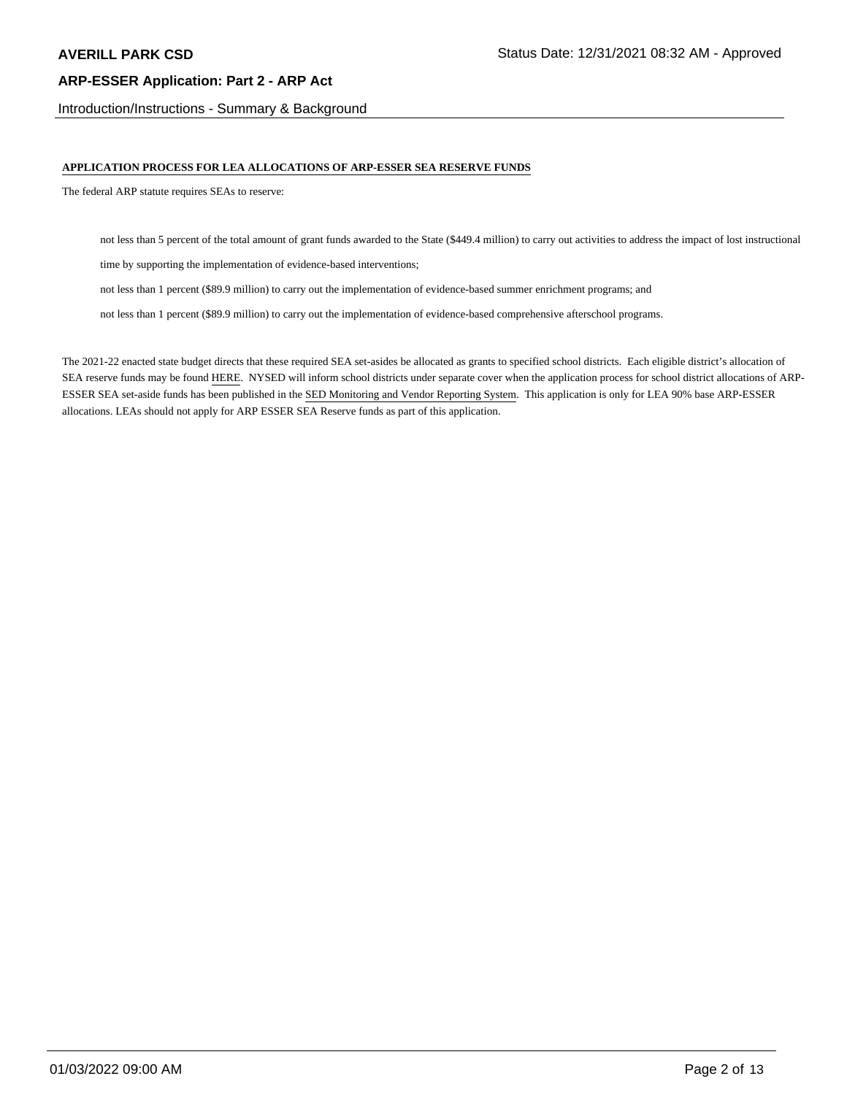Introduction/Instructions - Summary & Background

#### **APPLICATION PROCESS FOR LEA ALLOCATIONS OF ARP-ESSER SEA RESERVE FUNDS**

The federal ARP statute requires SEAs to reserve:

not less than 5 percent of the total amount of grant funds awarded to the State (\$449.4 million) to carry out activities to address the impact of lost instructional

time by supporting the implementation of evidence-based interventions;

not less than 1 percent (\$89.9 million) to carry out the implementation of evidence-based summer enrichment programs; and

not less than 1 percent (\$89.9 million) to carry out the implementation of evidence-based comprehensive afterschool programs.

The 2021-22 enacted state budget directs that these required SEA set-asides be allocated as grants to specified school districts. Each eligible district's allocation of SEA reserve funds may be found HERE. NYSED will inform school districts under separate cover when the application process for school district allocations of ARP-ESSER SEA set-aside funds has been published in the SED Monitoring and Vendor Reporting System. This application is only for LEA 90% base ARP-ESSER allocations. LEAs should not apply for ARP ESSER SEA Reserve funds as part of this application.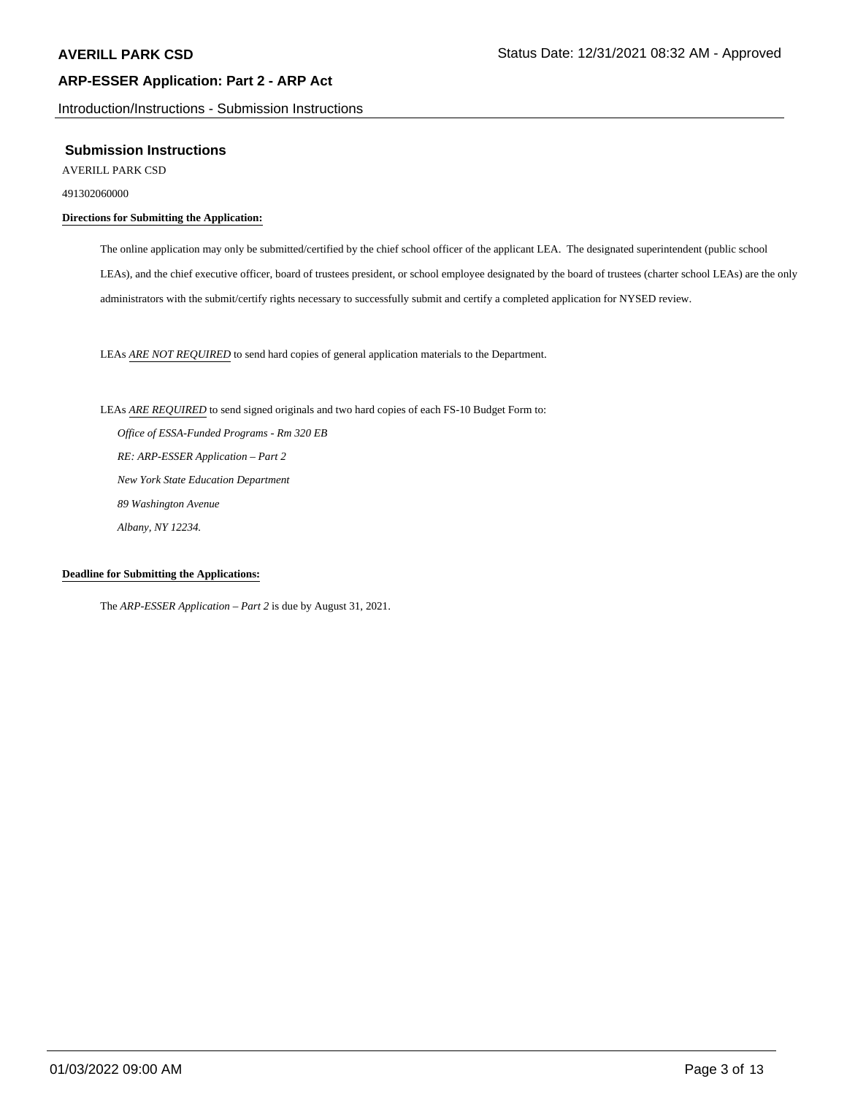Introduction/Instructions - Submission Instructions

#### **Submission Instructions**

AVERILL PARK CSD

491302060000

#### **Directions for Submitting the Application:**

The online application may only be submitted/certified by the chief school officer of the applicant LEA. The designated superintendent (public school LEAs), and the chief executive officer, board of trustees president, or school employee designated by the board of trustees (charter school LEAs) are the only administrators with the submit/certify rights necessary to successfully submit and certify a completed application for NYSED review.

LEAs *ARE NOT REQUIRED* to send hard copies of general application materials to the Department.

LEAs *ARE REQUIRED* to send signed originals and two hard copies of each FS-10 Budget Form to:  *Office of ESSA-Funded Programs - Rm 320 EB RE: ARP-ESSER Application – Part 2 New York State Education Department 89 Washington Avenue Albany, NY 12234.*

#### **Deadline for Submitting the Applications:**

The *ARP-ESSER Application – Part 2* is due by August 31, 2021.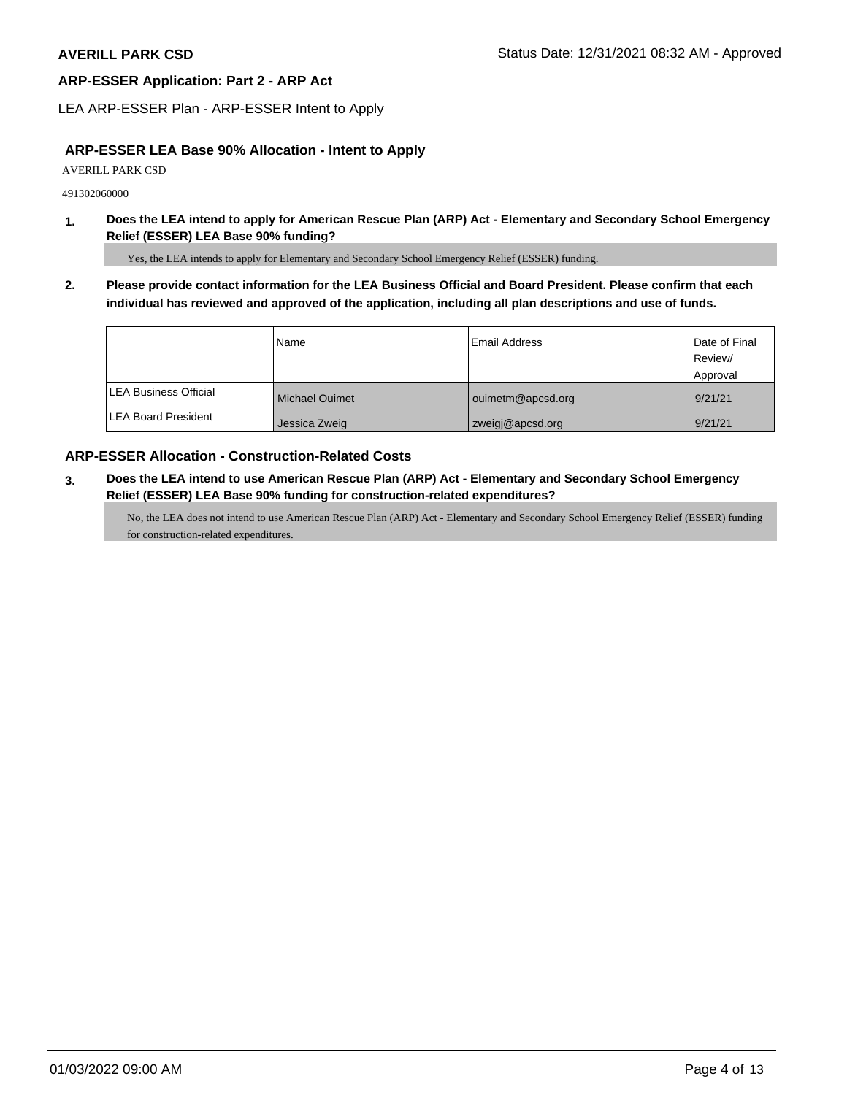LEA ARP-ESSER Plan - ARP-ESSER Intent to Apply

## **ARP-ESSER LEA Base 90% Allocation - Intent to Apply**

AVERILL PARK CSD

491302060000

**1. Does the LEA intend to apply for American Rescue Plan (ARP) Act - Elementary and Secondary School Emergency Relief (ESSER) LEA Base 90% funding?**

Yes, the LEA intends to apply for Elementary and Secondary School Emergency Relief (ESSER) funding.

**2. Please provide contact information for the LEA Business Official and Board President. Please confirm that each individual has reviewed and approved of the application, including all plan descriptions and use of funds.** 

|                               | Name                  | Email Address     | Date of Final |
|-------------------------------|-----------------------|-------------------|---------------|
|                               |                       |                   | Review/       |
|                               |                       |                   | Approval      |
| <b>ILEA Business Official</b> | <b>Michael Ouimet</b> | ouimetm@apcsd.org | 9/21/21       |
| <b>LEA Board President</b>    | Jessica Zweig         | zweigi@apcsd.org  | 9/21/21       |

## **ARP-ESSER Allocation - Construction-Related Costs**

**3. Does the LEA intend to use American Rescue Plan (ARP) Act - Elementary and Secondary School Emergency Relief (ESSER) LEA Base 90% funding for construction-related expenditures?**

No, the LEA does not intend to use American Rescue Plan (ARP) Act - Elementary and Secondary School Emergency Relief (ESSER) funding for construction-related expenditures.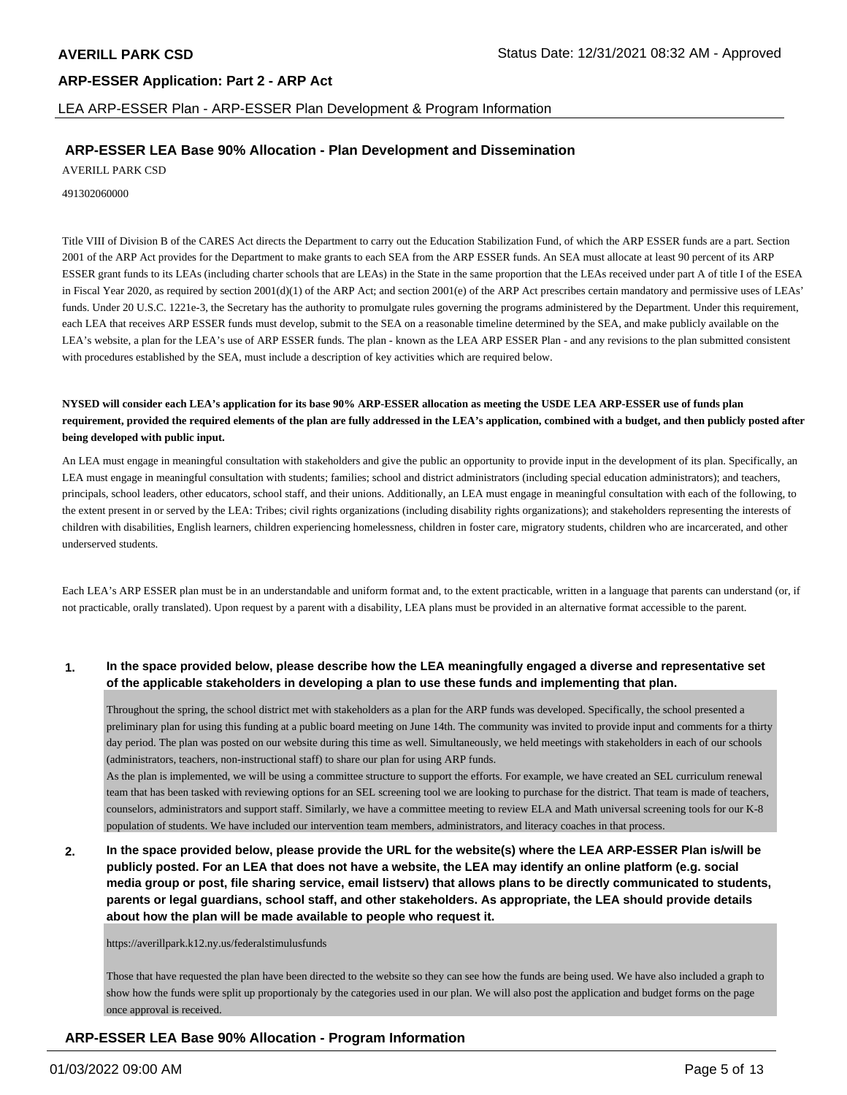LEA ARP-ESSER Plan - ARP-ESSER Plan Development & Program Information

## **ARP-ESSER LEA Base 90% Allocation - Plan Development and Dissemination**

AVERILL PARK CSD

491302060000

Title VIII of Division B of the CARES Act directs the Department to carry out the Education Stabilization Fund, of which the ARP ESSER funds are a part. Section 2001 of the ARP Act provides for the Department to make grants to each SEA from the ARP ESSER funds. An SEA must allocate at least 90 percent of its ARP ESSER grant funds to its LEAs (including charter schools that are LEAs) in the State in the same proportion that the LEAs received under part A of title I of the ESEA in Fiscal Year 2020, as required by section 2001(d)(1) of the ARP Act; and section 2001(e) of the ARP Act prescribes certain mandatory and permissive uses of LEAs' funds. Under 20 U.S.C. 1221e-3, the Secretary has the authority to promulgate rules governing the programs administered by the Department. Under this requirement, each LEA that receives ARP ESSER funds must develop, submit to the SEA on a reasonable timeline determined by the SEA, and make publicly available on the LEA's website, a plan for the LEA's use of ARP ESSER funds. The plan - known as the LEA ARP ESSER Plan - and any revisions to the plan submitted consistent with procedures established by the SEA, must include a description of key activities which are required below.

**NYSED will consider each LEA's application for its base 90% ARP-ESSER allocation as meeting the USDE LEA ARP-ESSER use of funds plan requirement, provided the required elements of the plan are fully addressed in the LEA's application, combined with a budget, and then publicly posted after being developed with public input.**

An LEA must engage in meaningful consultation with stakeholders and give the public an opportunity to provide input in the development of its plan. Specifically, an LEA must engage in meaningful consultation with students; families; school and district administrators (including special education administrators); and teachers, principals, school leaders, other educators, school staff, and their unions. Additionally, an LEA must engage in meaningful consultation with each of the following, to the extent present in or served by the LEA: Tribes; civil rights organizations (including disability rights organizations); and stakeholders representing the interests of children with disabilities, English learners, children experiencing homelessness, children in foster care, migratory students, children who are incarcerated, and other underserved students.

Each LEA's ARP ESSER plan must be in an understandable and uniform format and, to the extent practicable, written in a language that parents can understand (or, if not practicable, orally translated). Upon request by a parent with a disability, LEA plans must be provided in an alternative format accessible to the parent.

#### **1. In the space provided below, please describe how the LEA meaningfully engaged a diverse and representative set of the applicable stakeholders in developing a plan to use these funds and implementing that plan.**

Throughout the spring, the school district met with stakeholders as a plan for the ARP funds was developed. Specifically, the school presented a preliminary plan for using this funding at a public board meeting on June 14th. The community was invited to provide input and comments for a thirty day period. The plan was posted on our website during this time as well. Simultaneously, we held meetings with stakeholders in each of our schools (administrators, teachers, non-instructional staff) to share our plan for using ARP funds.

As the plan is implemented, we will be using a committee structure to support the efforts. For example, we have created an SEL curriculum renewal team that has been tasked with reviewing options for an SEL screening tool we are looking to purchase for the district. That team is made of teachers, counselors, administrators and support staff. Similarly, we have a committee meeting to review ELA and Math universal screening tools for our K-8 population of students. We have included our intervention team members, administrators, and literacy coaches in that process.

**2. In the space provided below, please provide the URL for the website(s) where the LEA ARP-ESSER Plan is/will be publicly posted. For an LEA that does not have a website, the LEA may identify an online platform (e.g. social media group or post, file sharing service, email listserv) that allows plans to be directly communicated to students, parents or legal guardians, school staff, and other stakeholders. As appropriate, the LEA should provide details about how the plan will be made available to people who request it.**

https://averillpark.k12.ny.us/federalstimulusfunds

Those that have requested the plan have been directed to the website so they can see how the funds are being used. We have also included a graph to show how the funds were split up proportionaly by the categories used in our plan. We will also post the application and budget forms on the page once approval is received.

**ARP-ESSER LEA Base 90% Allocation - Program Information**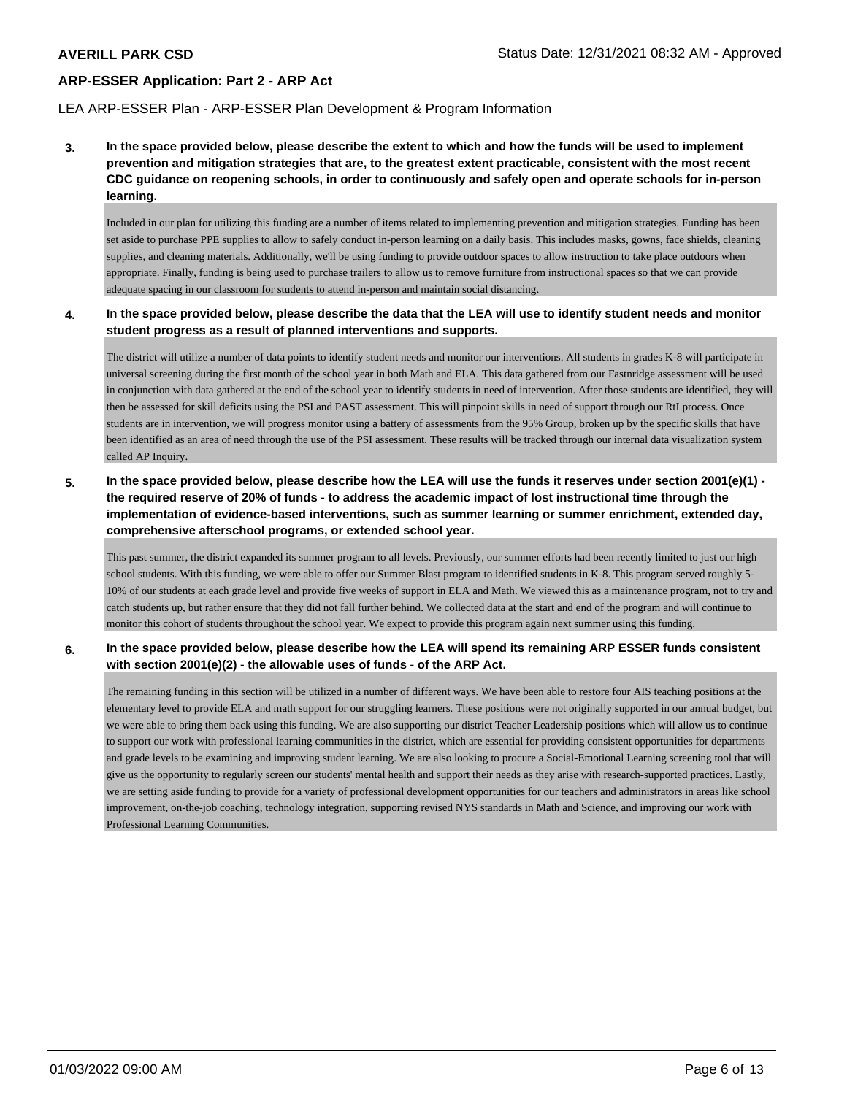#### LEA ARP-ESSER Plan - ARP-ESSER Plan Development & Program Information

**3. In the space provided below, please describe the extent to which and how the funds will be used to implement prevention and mitigation strategies that are, to the greatest extent practicable, consistent with the most recent CDC guidance on reopening schools, in order to continuously and safely open and operate schools for in-person learning.**

Included in our plan for utilizing this funding are a number of items related to implementing prevention and mitigation strategies. Funding has been set aside to purchase PPE supplies to allow to safely conduct in-person learning on a daily basis. This includes masks, gowns, face shields, cleaning supplies, and cleaning materials. Additionally, we'll be using funding to provide outdoor spaces to allow instruction to take place outdoors when appropriate. Finally, funding is being used to purchase trailers to allow us to remove furniture from instructional spaces so that we can provide adequate spacing in our classroom for students to attend in-person and maintain social distancing.

#### **4. In the space provided below, please describe the data that the LEA will use to identify student needs and monitor student progress as a result of planned interventions and supports.**

The district will utilize a number of data points to identify student needs and monitor our interventions. All students in grades K-8 will participate in universal screening during the first month of the school year in both Math and ELA. This data gathered from our Fastnridge assessment will be used in conjunction with data gathered at the end of the school year to identify students in need of intervention. After those students are identified, they will then be assessed for skill deficits using the PSI and PAST assessment. This will pinpoint skills in need of support through our RtI process. Once students are in intervention, we will progress monitor using a battery of assessments from the 95% Group, broken up by the specific skills that have been identified as an area of need through the use of the PSI assessment. These results will be tracked through our internal data visualization system called AP Inquiry.

**5. In the space provided below, please describe how the LEA will use the funds it reserves under section 2001(e)(1) the required reserve of 20% of funds - to address the academic impact of lost instructional time through the implementation of evidence-based interventions, such as summer learning or summer enrichment, extended day, comprehensive afterschool programs, or extended school year.**

This past summer, the district expanded its summer program to all levels. Previously, our summer efforts had been recently limited to just our high school students. With this funding, we were able to offer our Summer Blast program to identified students in K-8. This program served roughly 5- 10% of our students at each grade level and provide five weeks of support in ELA and Math. We viewed this as a maintenance program, not to try and catch students up, but rather ensure that they did not fall further behind. We collected data at the start and end of the program and will continue to monitor this cohort of students throughout the school year. We expect to provide this program again next summer using this funding.

**6. In the space provided below, please describe how the LEA will spend its remaining ARP ESSER funds consistent with section 2001(e)(2) - the allowable uses of funds - of the ARP Act.**

The remaining funding in this section will be utilized in a number of different ways. We have been able to restore four AIS teaching positions at the elementary level to provide ELA and math support for our struggling learners. These positions were not originally supported in our annual budget, but we were able to bring them back using this funding. We are also supporting our district Teacher Leadership positions which will allow us to continue to support our work with professional learning communities in the district, which are essential for providing consistent opportunities for departments and grade levels to be examining and improving student learning. We are also looking to procure a Social-Emotional Learning screening tool that will give us the opportunity to regularly screen our students' mental health and support their needs as they arise with research-supported practices. Lastly, we are setting aside funding to provide for a variety of professional development opportunities for our teachers and administrators in areas like school improvement, on-the-job coaching, technology integration, supporting revised NYS standards in Math and Science, and improving our work with Professional Learning Communities.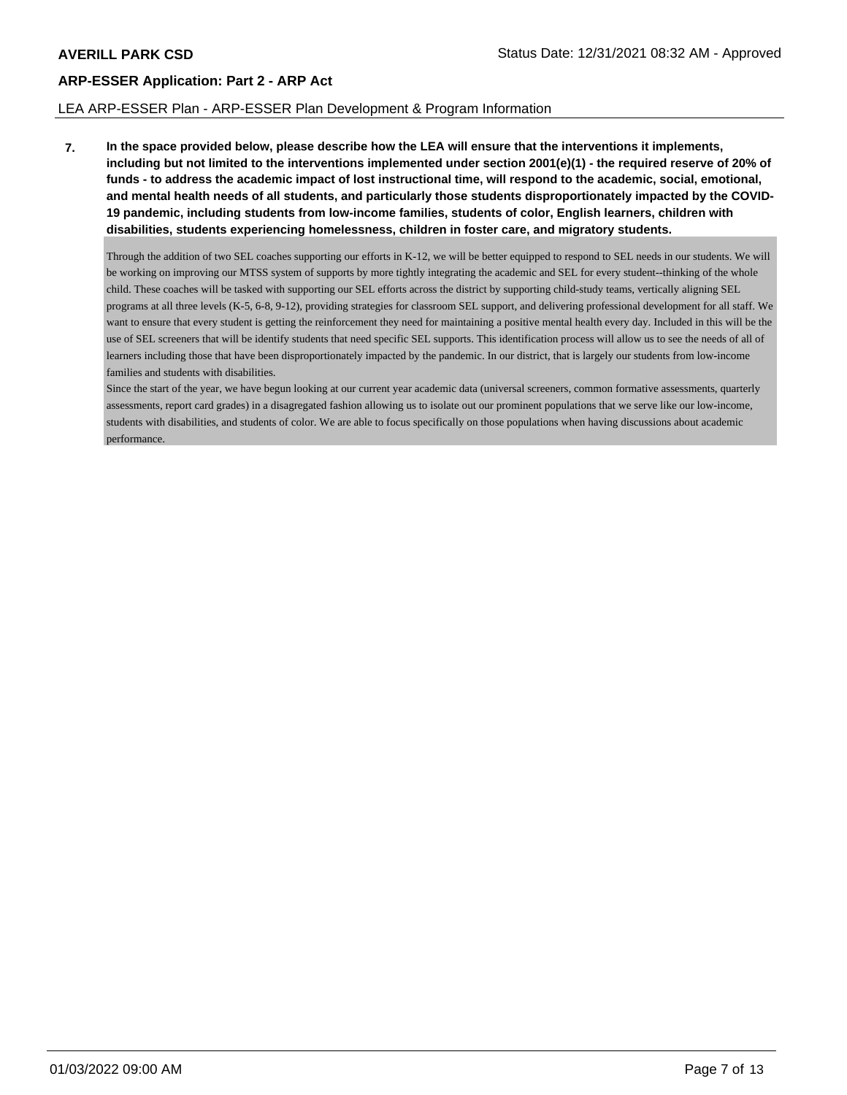#### LEA ARP-ESSER Plan - ARP-ESSER Plan Development & Program Information

**7. In the space provided below, please describe how the LEA will ensure that the interventions it implements, including but not limited to the interventions implemented under section 2001(e)(1) - the required reserve of 20% of funds - to address the academic impact of lost instructional time, will respond to the academic, social, emotional, and mental health needs of all students, and particularly those students disproportionately impacted by the COVID-19 pandemic, including students from low-income families, students of color, English learners, children with disabilities, students experiencing homelessness, children in foster care, and migratory students.**

Through the addition of two SEL coaches supporting our efforts in K-12, we will be better equipped to respond to SEL needs in our students. We will be working on improving our MTSS system of supports by more tightly integrating the academic and SEL for every student--thinking of the whole child. These coaches will be tasked with supporting our SEL efforts across the district by supporting child-study teams, vertically aligning SEL programs at all three levels (K-5, 6-8, 9-12), providing strategies for classroom SEL support, and delivering professional development for all staff. We want to ensure that every student is getting the reinforcement they need for maintaining a positive mental health every day. Included in this will be the use of SEL screeners that will be identify students that need specific SEL supports. This identification process will allow us to see the needs of all of learners including those that have been disproportionately impacted by the pandemic. In our district, that is largely our students from low-income families and students with disabilities.

Since the start of the year, we have begun looking at our current year academic data (universal screeners, common formative assessments, quarterly assessments, report card grades) in a disagregated fashion allowing us to isolate out our prominent populations that we serve like our low-income, students with disabilities, and students of color. We are able to focus specifically on those populations when having discussions about academic performance.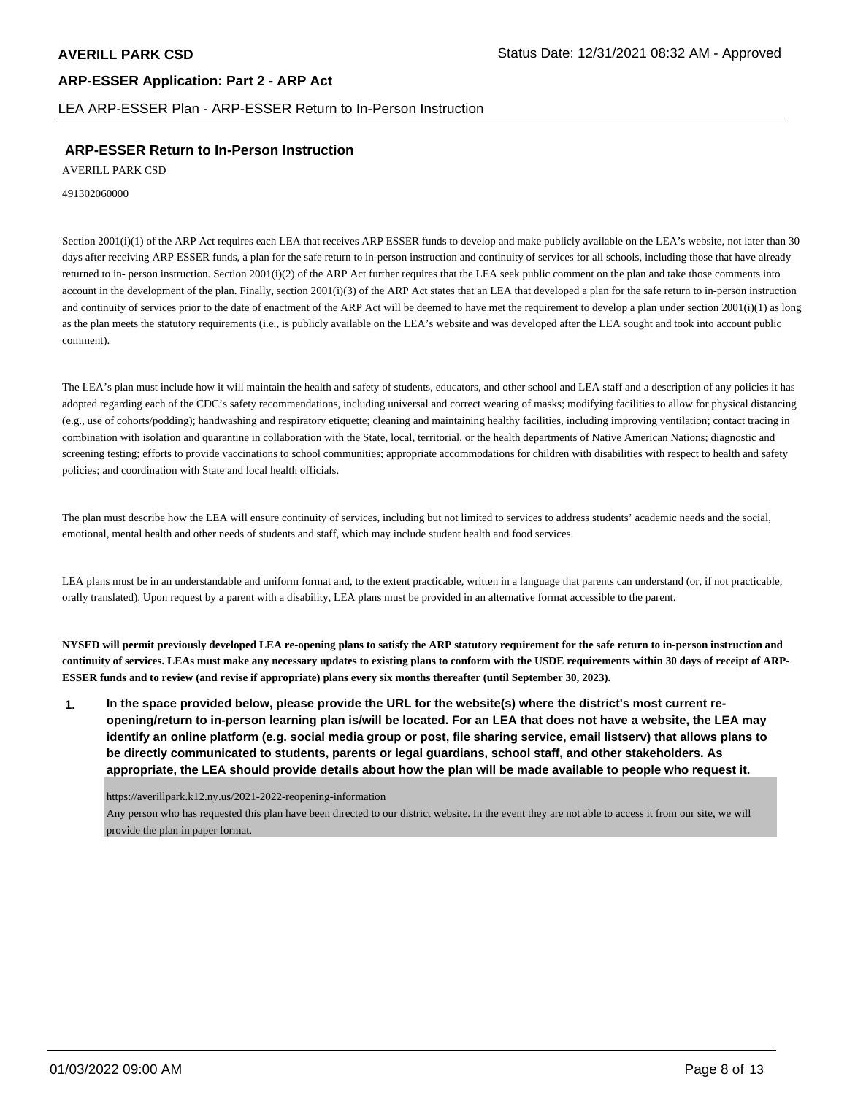LEA ARP-ESSER Plan - ARP-ESSER Return to In-Person Instruction

## **ARP-ESSER Return to In-Person Instruction**

AVERILL PARK CSD

491302060000

Section 2001(i)(1) of the ARP Act requires each LEA that receives ARP ESSER funds to develop and make publicly available on the LEA's website, not later than 30 days after receiving ARP ESSER funds, a plan for the safe return to in-person instruction and continuity of services for all schools, including those that have already returned to in- person instruction. Section 2001(i)(2) of the ARP Act further requires that the LEA seek public comment on the plan and take those comments into account in the development of the plan. Finally, section 2001(i)(3) of the ARP Act states that an LEA that developed a plan for the safe return to in-person instruction and continuity of services prior to the date of enactment of the ARP Act will be deemed to have met the requirement to develop a plan under section  $2001(i)(1)$  as long as the plan meets the statutory requirements (i.e., is publicly available on the LEA's website and was developed after the LEA sought and took into account public comment).

The LEA's plan must include how it will maintain the health and safety of students, educators, and other school and LEA staff and a description of any policies it has adopted regarding each of the CDC's safety recommendations, including universal and correct wearing of masks; modifying facilities to allow for physical distancing (e.g., use of cohorts/podding); handwashing and respiratory etiquette; cleaning and maintaining healthy facilities, including improving ventilation; contact tracing in combination with isolation and quarantine in collaboration with the State, local, territorial, or the health departments of Native American Nations; diagnostic and screening testing; efforts to provide vaccinations to school communities; appropriate accommodations for children with disabilities with respect to health and safety policies; and coordination with State and local health officials.

The plan must describe how the LEA will ensure continuity of services, including but not limited to services to address students' academic needs and the social, emotional, mental health and other needs of students and staff, which may include student health and food services.

LEA plans must be in an understandable and uniform format and, to the extent practicable, written in a language that parents can understand (or, if not practicable, orally translated). Upon request by a parent with a disability, LEA plans must be provided in an alternative format accessible to the parent.

**NYSED will permit previously developed LEA re-opening plans to satisfy the ARP statutory requirement for the safe return to in-person instruction and continuity of services. LEAs must make any necessary updates to existing plans to conform with the USDE requirements within 30 days of receipt of ARP-ESSER funds and to review (and revise if appropriate) plans every six months thereafter (until September 30, 2023).**

**1. In the space provided below, please provide the URL for the website(s) where the district's most current reopening/return to in-person learning plan is/will be located. For an LEA that does not have a website, the LEA may identify an online platform (e.g. social media group or post, file sharing service, email listserv) that allows plans to be directly communicated to students, parents or legal guardians, school staff, and other stakeholders. As appropriate, the LEA should provide details about how the plan will be made available to people who request it.**

https://averillpark.k12.ny.us/2021-2022-reopening-information

Any person who has requested this plan have been directed to our district website. In the event they are not able to access it from our site, we will provide the plan in paper format.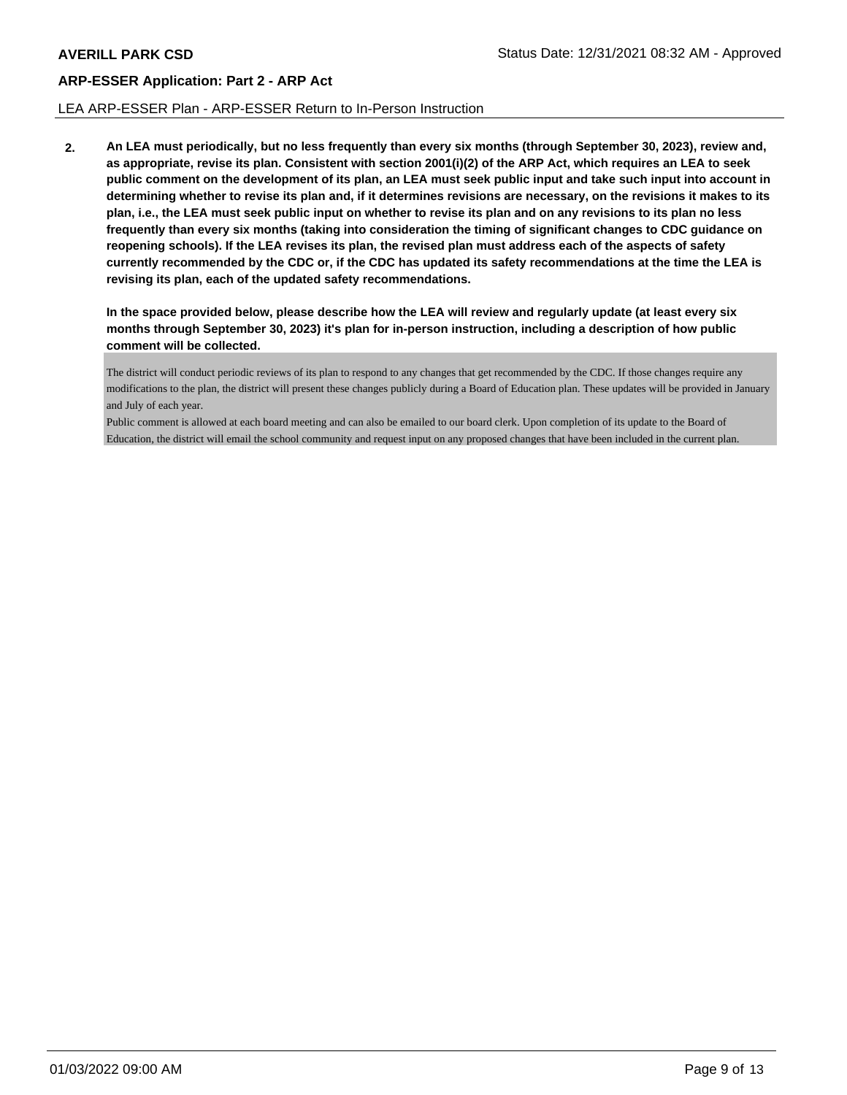#### LEA ARP-ESSER Plan - ARP-ESSER Return to In-Person Instruction

**2. An LEA must periodically, but no less frequently than every six months (through September 30, 2023), review and, as appropriate, revise its plan. Consistent with section 2001(i)(2) of the ARP Act, which requires an LEA to seek public comment on the development of its plan, an LEA must seek public input and take such input into account in determining whether to revise its plan and, if it determines revisions are necessary, on the revisions it makes to its plan, i.e., the LEA must seek public input on whether to revise its plan and on any revisions to its plan no less frequently than every six months (taking into consideration the timing of significant changes to CDC guidance on reopening schools). If the LEA revises its plan, the revised plan must address each of the aspects of safety currently recommended by the CDC or, if the CDC has updated its safety recommendations at the time the LEA is revising its plan, each of the updated safety recommendations.**

**In the space provided below, please describe how the LEA will review and regularly update (at least every six months through September 30, 2023) it's plan for in-person instruction, including a description of how public comment will be collected.**

The district will conduct periodic reviews of its plan to respond to any changes that get recommended by the CDC. If those changes require any modifications to the plan, the district will present these changes publicly during a Board of Education plan. These updates will be provided in January and July of each year.

Public comment is allowed at each board meeting and can also be emailed to our board clerk. Upon completion of its update to the Board of Education, the district will email the school community and request input on any proposed changes that have been included in the current plan.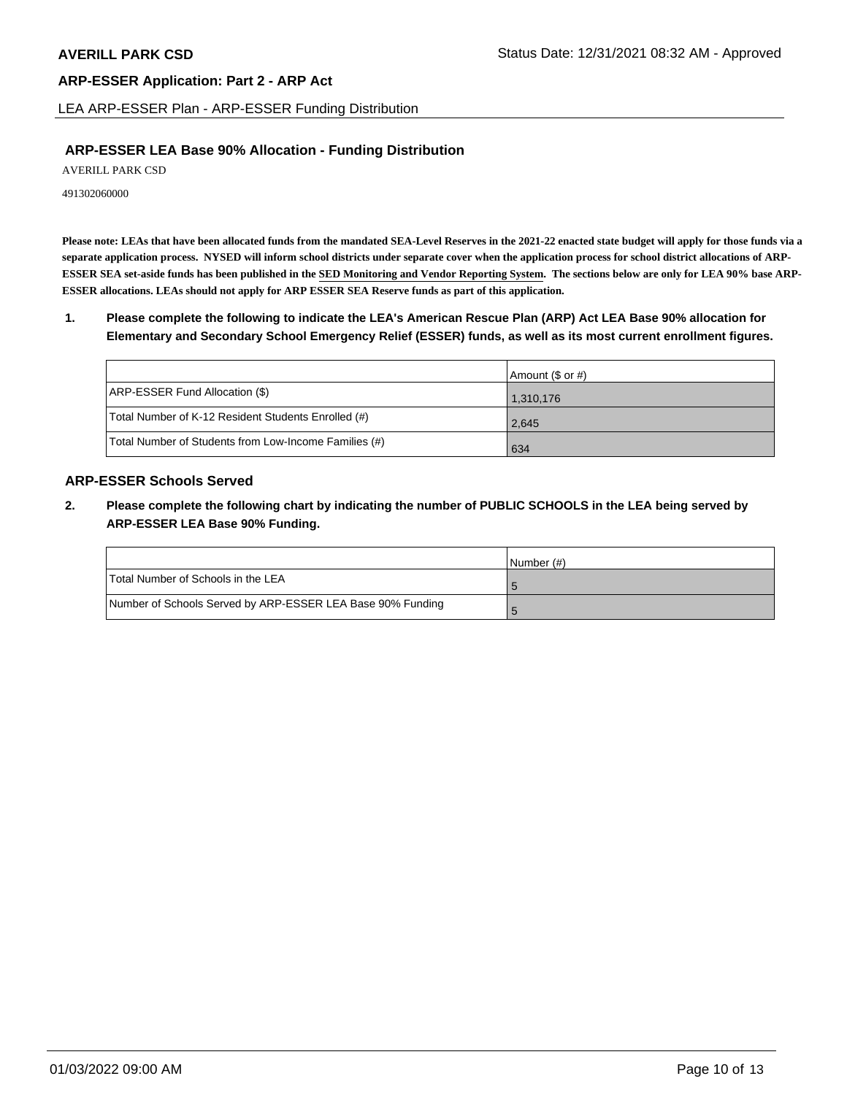LEA ARP-ESSER Plan - ARP-ESSER Funding Distribution

## **ARP-ESSER LEA Base 90% Allocation - Funding Distribution**

AVERILL PARK CSD

491302060000

**Please note: LEAs that have been allocated funds from the mandated SEA-Level Reserves in the 2021-22 enacted state budget will apply for those funds via a separate application process. NYSED will inform school districts under separate cover when the application process for school district allocations of ARP-ESSER SEA set-aside funds has been published in the SED Monitoring and Vendor Reporting System. The sections below are only for LEA 90% base ARP-ESSER allocations. LEAs should not apply for ARP ESSER SEA Reserve funds as part of this application.**

**1. Please complete the following to indicate the LEA's American Rescue Plan (ARP) Act LEA Base 90% allocation for Elementary and Secondary School Emergency Relief (ESSER) funds, as well as its most current enrollment figures.**

|                                                       | Amount (\$ or #) |
|-------------------------------------------------------|------------------|
| ARP-ESSER Fund Allocation (\$)                        | 1,310,176        |
| Total Number of K-12 Resident Students Enrolled (#)   | 2,645            |
| Total Number of Students from Low-Income Families (#) | 634              |

## **ARP-ESSER Schools Served**

**2. Please complete the following chart by indicating the number of PUBLIC SCHOOLS in the LEA being served by ARP-ESSER LEA Base 90% Funding.**

|                                                            | INumber (#) |
|------------------------------------------------------------|-------------|
| Total Number of Schools in the LEA                         |             |
| Number of Schools Served by ARP-ESSER LEA Base 90% Funding |             |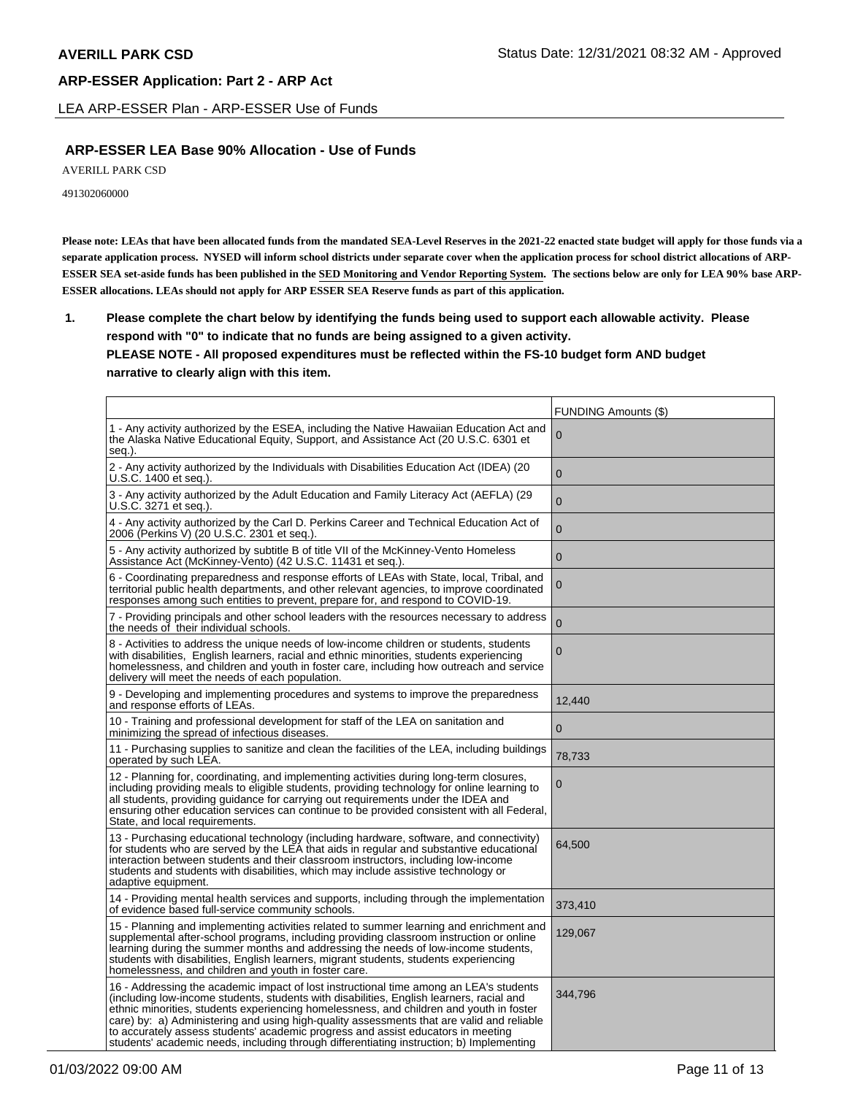LEA ARP-ESSER Plan - ARP-ESSER Use of Funds

## **ARP-ESSER LEA Base 90% Allocation - Use of Funds**

AVERILL PARK CSD

491302060000

**Please note: LEAs that have been allocated funds from the mandated SEA-Level Reserves in the 2021-22 enacted state budget will apply for those funds via a separate application process. NYSED will inform school districts under separate cover when the application process for school district allocations of ARP-ESSER SEA set-aside funds has been published in the SED Monitoring and Vendor Reporting System. The sections below are only for LEA 90% base ARP-ESSER allocations. LEAs should not apply for ARP ESSER SEA Reserve funds as part of this application.**

**1. Please complete the chart below by identifying the funds being used to support each allowable activity. Please respond with "0" to indicate that no funds are being assigned to a given activity. PLEASE NOTE - All proposed expenditures must be reflected within the FS-10 budget form AND budget narrative to clearly align with this item.**

|                                                                                                                                                                                                                                                                                                                                                                                                                                                                                                                                                            | FUNDING Amounts (\$) |
|------------------------------------------------------------------------------------------------------------------------------------------------------------------------------------------------------------------------------------------------------------------------------------------------------------------------------------------------------------------------------------------------------------------------------------------------------------------------------------------------------------------------------------------------------------|----------------------|
| 1 - Any activity authorized by the ESEA, including the Native Hawaiian Education Act and<br>the Alaska Native Educational Equity, Support, and Assistance Act (20 U.S.C. 6301 et<br>seq.).                                                                                                                                                                                                                                                                                                                                                                 | 0                    |
| 2 - Any activity authorized by the Individuals with Disabilities Education Act (IDEA) (20<br>U.S.C. 1400 et seq.).                                                                                                                                                                                                                                                                                                                                                                                                                                         | $\overline{0}$       |
| 3 - Any activity authorized by the Adult Education and Family Literacy Act (AEFLA) (29<br>U.S.C. 3271 et seq.).                                                                                                                                                                                                                                                                                                                                                                                                                                            | $\mathbf 0$          |
| 4 - Any activity authorized by the Carl D. Perkins Career and Technical Education Act of<br>2006 (Perkins V) (20 U.S.C. 2301 et seq.).                                                                                                                                                                                                                                                                                                                                                                                                                     | $\mathbf 0$          |
| 5 - Any activity authorized by subtitle B of title VII of the McKinney-Vento Homeless<br>Assistance Act (McKinney-Vento) (42 U.S.C. 11431 et seg.).                                                                                                                                                                                                                                                                                                                                                                                                        | $\mathbf 0$          |
| 6 - Coordinating preparedness and response efforts of LEAs with State, local, Tribal, and<br>territorial public health departments, and other relevant agencies, to improve coordinated<br>responses among such entities to prevent, prepare for, and respond to COVID-19.                                                                                                                                                                                                                                                                                 | $\boldsymbol{0}$     |
| 7 - Providing principals and other school leaders with the resources necessary to address<br>the needs of their individual schools.                                                                                                                                                                                                                                                                                                                                                                                                                        | $\mathbf 0$          |
| 8 - Activities to address the unique needs of low-income children or students, students<br>with disabilities, English learners, racial and ethnic minorities, students experiencing<br>homelessness, and children and youth in foster care, including how outreach and service<br>delivery will meet the needs of each population.                                                                                                                                                                                                                         | $\overline{0}$       |
| 9 - Developing and implementing procedures and systems to improve the preparedness<br>and response efforts of LEAs.                                                                                                                                                                                                                                                                                                                                                                                                                                        | 12,440               |
| 10 - Training and professional development for staff of the LEA on sanitation and<br>minimizing the spread of infectious diseases.                                                                                                                                                                                                                                                                                                                                                                                                                         | $\mathbf{0}$         |
| 11 - Purchasing supplies to sanitize and clean the facilities of the LEA, including buildings<br>operated by such LEA.                                                                                                                                                                                                                                                                                                                                                                                                                                     | 78,733               |
| 12 - Planning for, coordinating, and implementing activities during long-term closures,<br>including providing meals to eligible students, providing technology for online learning to<br>all students, providing guidance for carrying out requirements under the IDEA and<br>ensuring other education services can continue to be provided consistent with all Federal,<br>State, and local requirements.                                                                                                                                                | 0                    |
| 13 - Purchasing educational technology (including hardware, software, and connectivity)<br>for students who are served by the LEA that aids in regular and substantive educational<br>interaction between students and their classroom instructors, including low-income<br>students and students with disabilities, which may include assistive technology or<br>adaptive equipment.                                                                                                                                                                      | 64,500               |
| 14 - Providing mental health services and supports, including through the implementation<br>of evidence based full-service community schools.                                                                                                                                                                                                                                                                                                                                                                                                              | 373,410              |
| 15 - Planning and implementing activities related to summer learning and enrichment and<br>supplemental after-school programs, including providing classroom instruction or online<br>learning during the summer months and addressing the needs of low-income students,<br>students with disabilities, English learners, migrant students, students experiencing<br>homelessness, and children and youth in foster care.                                                                                                                                  | 129,067              |
| 16 - Addressing the academic impact of lost instructional time among an LEA's students<br>(including low-income students, students with disabilities, English learners, racial and<br>ethnic minorities, students experiencing homelessness, and children and youth in foster<br>care) by: a) Administering and using high-quality assessments that are valid and reliable<br>to accurately assess students' academic progress and assist educators in meeting<br>students' academic needs, including through differentiating instruction; b) Implementing | 344,796              |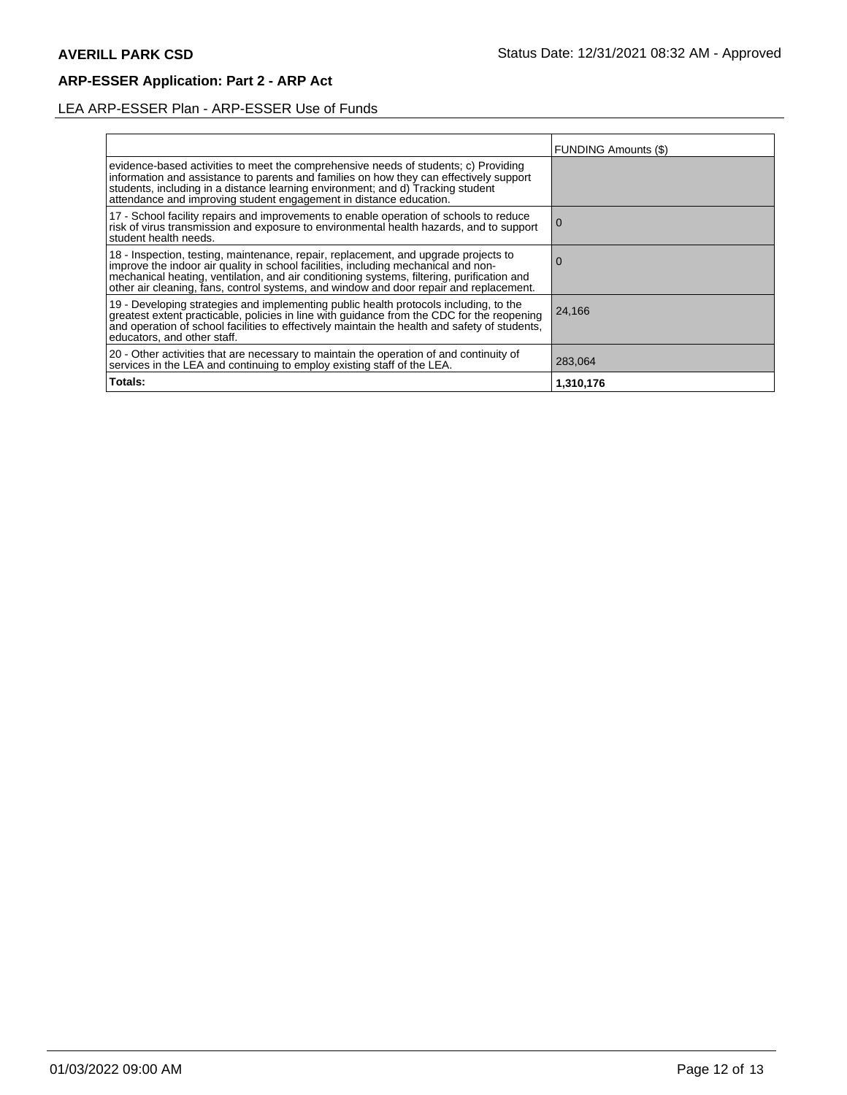# LEA ARP-ESSER Plan - ARP-ESSER Use of Funds

|                                                                                                                                                                                                                                                                                                                                                                | FUNDING Amounts (\$) |
|----------------------------------------------------------------------------------------------------------------------------------------------------------------------------------------------------------------------------------------------------------------------------------------------------------------------------------------------------------------|----------------------|
| evidence-based activities to meet the comprehensive needs of students; c) Providing<br>information and assistance to parents and families on how they can effectively support<br>students, including in a distance learning environment; and d) Tracking student<br>attendance and improving student engagement in distance education.                         |                      |
| 17 - School facility repairs and improvements to enable operation of schools to reduce<br>risk of virus transmission and exposure to environmental health hazards, and to support<br>student health needs.                                                                                                                                                     | l O                  |
| 18 - Inspection, testing, maintenance, repair, replacement, and upgrade projects to improve the indoor air quality in school facilities, including mechanical and non-<br>mechanical heating, ventilation, and air conditioning systems, filtering, purification and<br>other air cleaning, fans, control systems, and window and door repair and replacement. | O                    |
| 19 - Developing strategies and implementing public health protocols including, to the<br>greatest extent practicable, policies in line with guidance from the CDC for the reopening<br>and operation of school facilities to effectively maintain the health and safety of students,<br>educators, and other staff.                                            | 24,166               |
| 20 - Other activities that are necessary to maintain the operation of and continuity of<br>services in the LEA and continuing to employ existing staff of the LEA.                                                                                                                                                                                             | 283,064              |
| Totals:                                                                                                                                                                                                                                                                                                                                                        | 1,310,176            |